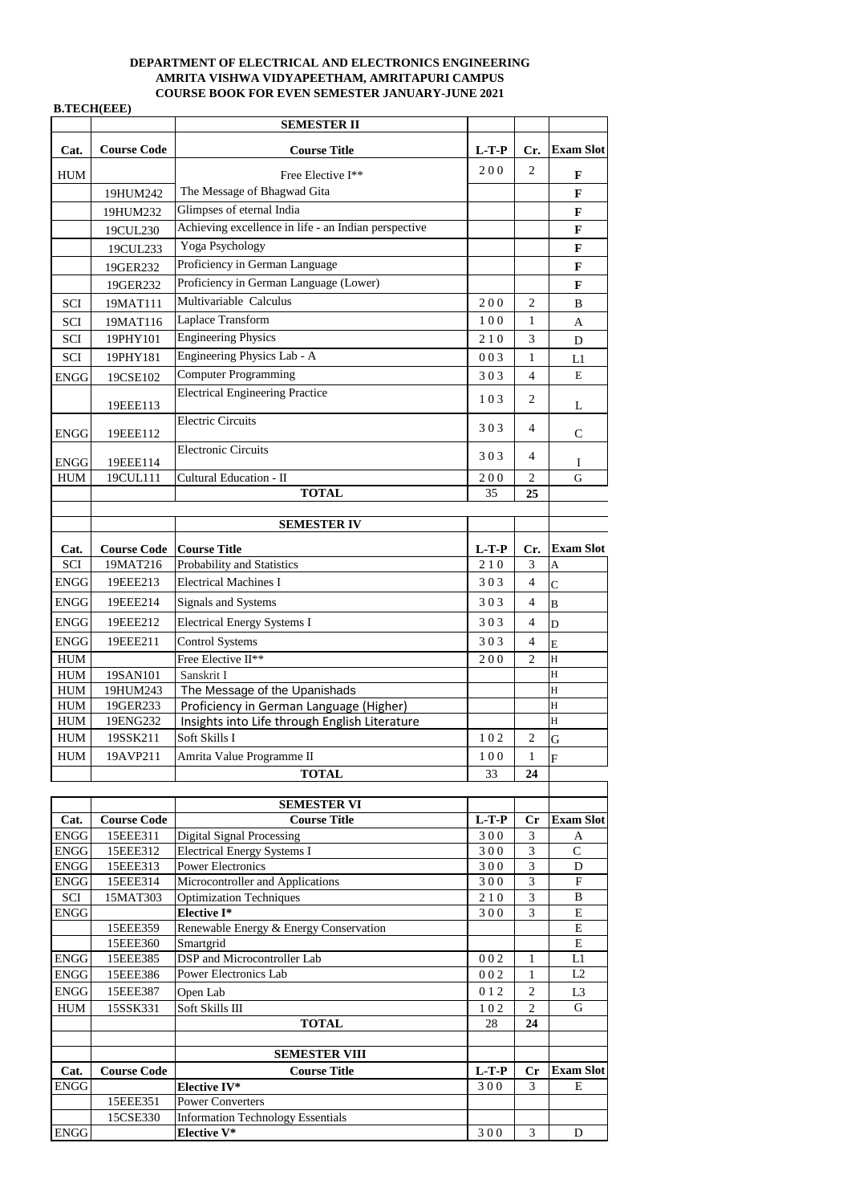|             |                    | <b>SEMESTER II</b>                                   |         |                |                  |
|-------------|--------------------|------------------------------------------------------|---------|----------------|------------------|
| Cat.        | <b>Course Code</b> | <b>Course Title</b>                                  | $L-T-P$ | Cr.            | <b>Exam Slot</b> |
| <b>HUM</b>  |                    | Free Elective I**                                    | 200     | $\overline{2}$ | $\mathbf F$      |
|             | 19HUM242           | The Message of Bhagwad Gita                          |         |                | $\mathbf{F}$     |
|             | 19HUM232           | Glimpses of eternal India                            |         |                | $\mathbf{F}$     |
|             | 19CUL230           | Achieving excellence in life - an Indian perspective |         |                | $\mathbf{F}$     |
|             | 19CUL233           | Yoga Psychology                                      |         |                | $\mathbf F$      |
|             | 19GER232           | Proficiency in German Language                       |         |                | $\mathbf{F}$     |
|             | 19GER232           | Proficiency in German Language (Lower)               |         |                | $\mathbf F$      |
| <b>SCI</b>  | 19MAT111           | Multivariable Calculus                               | 200     | $\overline{2}$ | B                |
| <b>SCI</b>  | 19MAT116           | Laplace Transform                                    | 100     | $\mathbf{1}$   | $\mathbf{A}$     |
| <b>SCI</b>  | 19PHY101           | <b>Engineering Physics</b>                           | 210     | $\overline{3}$ | D                |
| SCI         | 19PHY181           | Engineering Physics Lab - A                          | 003     | $\mathbf{1}$   | L1               |
| <b>ENGG</b> | 19CSE102           | <b>Computer Programming</b>                          | 303     | $\overline{4}$ | ${\bf E}$        |
|             | 19EEE113           | <b>Electrical Engineering Practice</b>               | 103     | $\overline{2}$ | L                |
|             |                    | <b>Electric Circuits</b>                             |         |                |                  |
| <b>ENGG</b> | 19EEE112           |                                                      | 303     | $\overline{4}$ | $\mathbf C$      |
| <b>ENGG</b> | 19EEE114           | <b>Electronic Circuits</b>                           | 303     | $\overline{4}$ | Ι                |
| <b>HUM</b>  | 19CUL111           | <b>Cultural Education - II</b>                       | 200     | $\overline{2}$ | $\overline{G}$   |
|             |                    | <b>TOTAL</b>                                         | 35      | 25             |                  |
|             |                    |                                                      |         |                |                  |
|             |                    | <b>SEMESTER IV</b>                                   |         |                |                  |
| Cat.        | <b>Course Code</b> | <b>Course Title</b>                                  | $L-T-P$ | Cr.            | <b>Exam Slot</b> |
| SCI         | 19MAT216           | <b>Probability and Statistics</b>                    | 210     | $\overline{3}$ | lA               |
| <b>ENGG</b> | 19EEE213           | <b>Electrical Machines I</b>                         | 303     | $\overline{4}$ | $\overline{C}$   |
| ENGG        | 19EEE214           | <b>Signals and Systems</b>                           | 303     | $\overline{4}$ | B                |
| ENGG        | 19EEE212           | <b>Electrical Energy Systems I</b>                   | 303     | $\overline{4}$ | D                |
| <b>ENGG</b> | 19EEE211           | <b>Control Systems</b>                               | 303     | $\overline{4}$ | E                |
| <b>HUM</b>  |                    | Free Elective II**                                   | 200     | $\overline{2}$ | H                |
| <b>HUM</b>  | 19SAN101           | Sanskrit I                                           |         |                | H                |
| ${\rm HUM}$ | 19HUM243           | The Message of the Upanishads                        |         |                | H                |
| <b>HUM</b>  | 19GER233           | Proficiency in German Language (Higher)              |         |                | H                |
| ${\bf HUM}$ | 19ENG232           | Insights into Life through English Literature        |         |                | H                |
| <b>HUM</b>  | 19SSK211           | Soft Skills I                                        | 102     | $\overline{2}$ | G                |
| <b>HUM</b>  | 19AVP211           | Amrita Value Programme II                            | 100     | $\mathbf{1}$   | F                |
|             |                    | <b>TOTAL</b>                                         | 33      | 24             |                  |
|             |                    |                                                      |         |                |                  |

|             |                    | <b>SEMESTER VI</b>                       |         |                |                  |
|-------------|--------------------|------------------------------------------|---------|----------------|------------------|
| Cat.        | <b>Course Code</b> | <b>Course Title</b>                      | $L-T-P$ | Cr             | <b>Exam Slot</b> |
| <b>ENGG</b> | 15EEE311           | <b>Digital Signal Processing</b>         | 300     | 3              | A                |
| <b>ENGG</b> | 15EEE312           | <b>Electrical Energy Systems I</b>       | 300     | 3              | $\mathcal{C}$    |
| <b>ENGG</b> | 15EEE313           | <b>Power Electronics</b>                 | 300     | 3              | D                |
| <b>ENGG</b> | 15EEE314           | Microcontroller and Applications         | 300     | 3              | $\mathbf{F}$     |
| <b>SCI</b>  | 15MAT303           | <b>Optimization Techniques</b>           | 210     | 3              | B                |
| <b>ENGG</b> |                    | <b>Elective I*</b>                       | 300     | 3              | E                |
|             | 15EEE359           | Renewable Energy & Energy Conservation   |         |                | E                |
|             | 15EEE360           | Smartgrid                                |         |                | E                |
| ENGG        | 15EEE385           | DSP and Microcontroller Lab              | 002     | 1              | L1               |
| <b>ENGG</b> | 15EEE386           | <b>Power Electronics Lab</b>             | 002     | 1              | L2               |
| <b>ENGG</b> | 15EEE387           | Open Lab                                 | 012     | $\overline{2}$ | L3               |
| <b>HUM</b>  | 15SSK331           | Soft Skills III                          | 102     | $\overline{2}$ | G                |
|             |                    | <b>TOTAL</b>                             | 28      | 24             |                  |
|             |                    |                                          |         |                |                  |
|             |                    | <b>SEMESTER VIII</b>                     |         |                |                  |
| Cat.        | <b>Course Code</b> | <b>Course Title</b>                      | $L-T-P$ | Cr             | <b>Exam Slot</b> |
| <b>ENGG</b> |                    | <b>Elective IV*</b>                      | 300     | 3              | E                |
|             | 15EEE351           | <b>Power Converters</b>                  |         |                |                  |
|             | 15CSE330           | <b>Information Technology Essentials</b> |         |                |                  |
| <b>ENGG</b> |                    | <b>Elective V*</b>                       | 300     | 3              | D                |

## **DEPARTMENT OF ELECTRICAL AND ELECTRONICS ENGINEERING AMRITA VISHWA VIDYAPEETHAM, AMRITAPURI CAMPUS COURSE BOOK FOR EVEN SEMESTER JANUARY-JUNE 2021**

## **B.TECH(EEE)**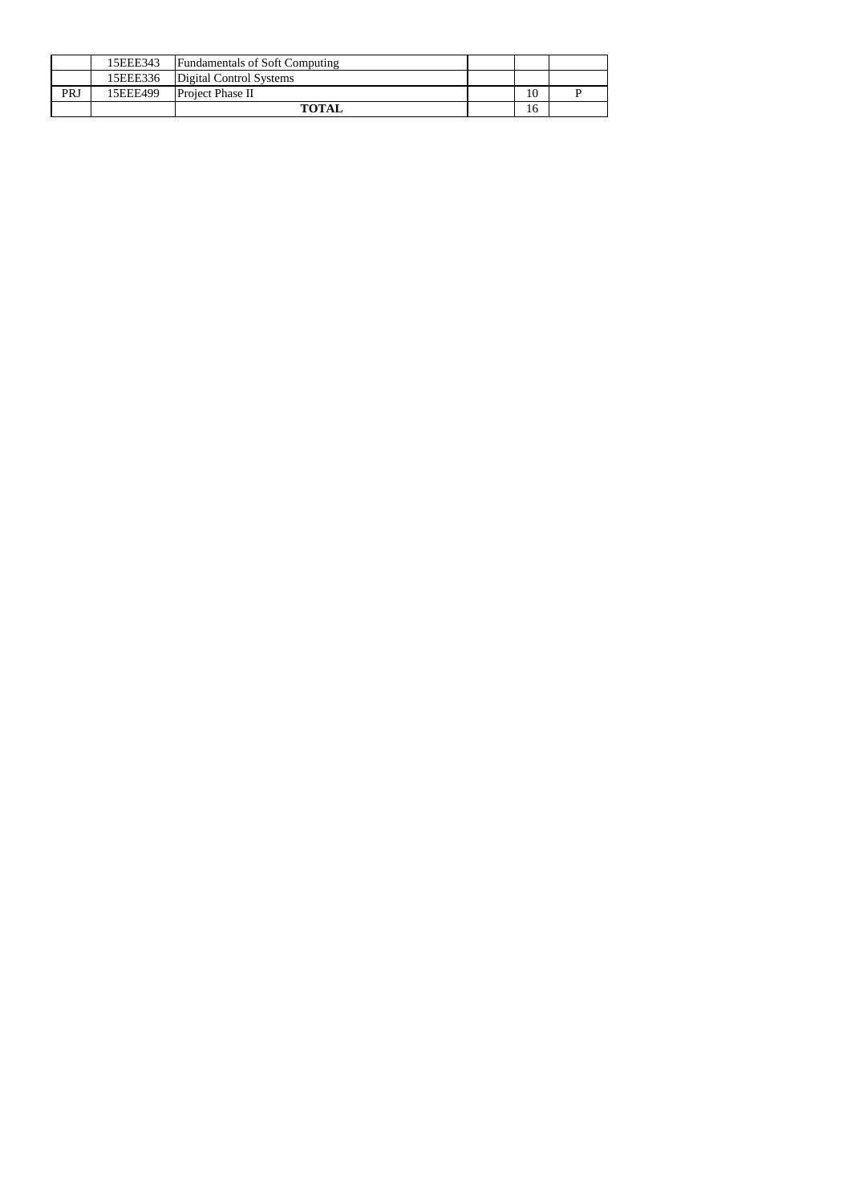|     | 15EEE343 | <b>Fundamentals of Soft Computing</b> |    |  |
|-----|----------|---------------------------------------|----|--|
|     | 15EEE336 | Digital Control Systems               |    |  |
| PRJ | 15EEE499 | <b>Project Phase II</b>               |    |  |
|     |          | <b>TOTAL</b>                          | 16 |  |